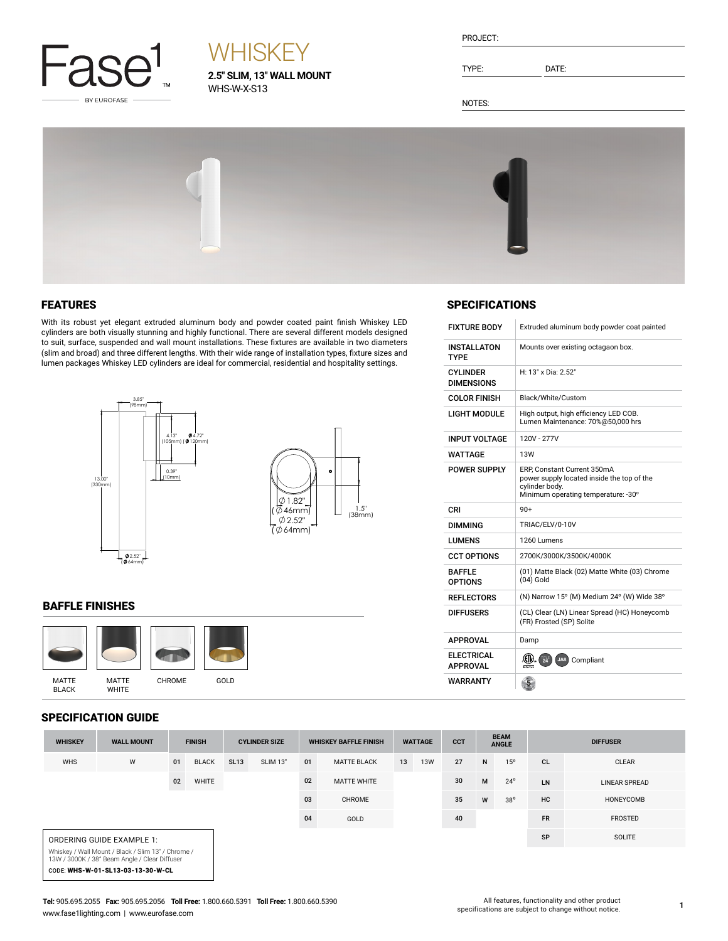

# **WHISKEY**

**2.5" SLIM, 13" WALL MOUNT** WHS-W-X-S13

| PROJECT: |  |
|----------|--|
|          |  |

TYPE: DATE:

SPECIFICATIONS

INSTALLATON TYPE

CYLINDER DIMENSIONS

FIXTURE BODY Extruded aluminum body powder coat painted

H: 13" x Dia: 2.52"

LIGHT MODULE High output, high efficiency LED COB. Lumen Maintenance: 70%@50,000 hrs

POWER SUPPLY ERP, Constant Current 350mA power supply located inside the top of the

cylinder body.<br>Minimum operating temperature: -30°

(01) Matte Black (02) Matte White (03) Chrome

COLOR FINISH Black/White/Custom

INPUT VOLTAGE | 120V - 277V WATTAGE 13W

DIMMING TRIAC/ELV/0-10V LUMENS 1260 Lumens

CCT OPTIONS 2700K/3000K/3500K/4000K

 $(04)$  Gold

REFLECTORS  $\vert$  (N) Narrow 15° (M) Medium 24° (W) Wide 38° DIFFUSERS (CL) Clear (LN) Linear Spread (HC) Honeycomb (FR) Frosted (SP) Solite

 $CRI$  90+

APPROVAL Damp

BAFFLE OPTIONS

**ELECTRICAL**<br>APPROVAL WARRANTY

Mounts over existing octagaon box.

NOTES:



### FEATURES

With its robust yet elegant extruded aluminum body and powder coated paint finish Whiskey LED cylinders are both visually stunning and highly functional. There are several different models designed to suit, surface, suspended and wall mount installations. These fixtures are available in two diameters (slim and broad) and three different lengths. With their wide range of installation types, fixture sizes and lumen packages Whiskey LED cylinders are ideal for commercial, residential and hospitality settings.



### BAFFLE FINISHES



### SPECIFICATION GUIDE

| 91 EVII IVALIVII VVIPE                                                                              |                           |               |              |                      |                 |                              |                    |                |            |            |                             |              |                 |                |
|-----------------------------------------------------------------------------------------------------|---------------------------|---------------|--------------|----------------------|-----------------|------------------------------|--------------------|----------------|------------|------------|-----------------------------|--------------|-----------------|----------------|
| <b>WHISKEY</b>                                                                                      | <b>WALL MOUNT</b>         | <b>FINISH</b> |              | <b>CYLINDER SIZE</b> |                 | <b>WHISKEY BAFFLE FINISH</b> |                    | <b>WATTAGE</b> |            | <b>CCT</b> | <b>BEAM</b><br><b>ANGLE</b> |              | <b>DIFFUSER</b> |                |
| <b>WHS</b>                                                                                          | W                         | 01            | <b>BLACK</b> | <b>SL13</b>          | <b>SLIM 13"</b> | 01                           | <b>MATTE BLACK</b> | 13             | <b>13W</b> | 27         | N                           | 15°          | <b>CL</b>       | <b>CLEAR</b>   |
|                                                                                                     |                           | 02            | WHITE        |                      |                 | 02                           | <b>MATTE WHITE</b> |                |            | 30         | M                           | $24^{\circ}$ | LN              | LINEAR SPREAD  |
|                                                                                                     |                           |               |              |                      |                 | 03                           | CHROME             |                |            | 35         | W                           | $38^{\circ}$ | <b>HC</b>       | HONEYCOMB      |
|                                                                                                     |                           |               |              |                      |                 | 04                           | GOLD               |                |            | 40         |                             |              | <b>FR</b>       | <b>FROSTED</b> |
|                                                                                                     | ORDERING GUIDE EXAMPLE 1: |               |              |                      |                 |                              |                    |                |            |            |                             |              | SP              | SOLITE         |
| Whiskey / Wall Mount / Black / Slim 13" / Chrome /<br>13W / 3000K / 38° Beam Angle / Clear Diffuser |                           |               |              |                      |                 |                              |                    |                |            |            |                             |              |                 |                |
| CODE: WHS-W-01-SL13-03-13-30-W-CL                                                                   |                           |               |              |                      |                 |                              |                    |                |            |            |                             |              |                 |                |

APPROVAL **(U).** 24 JA8 Compliant

 $\frac{5}{2}$